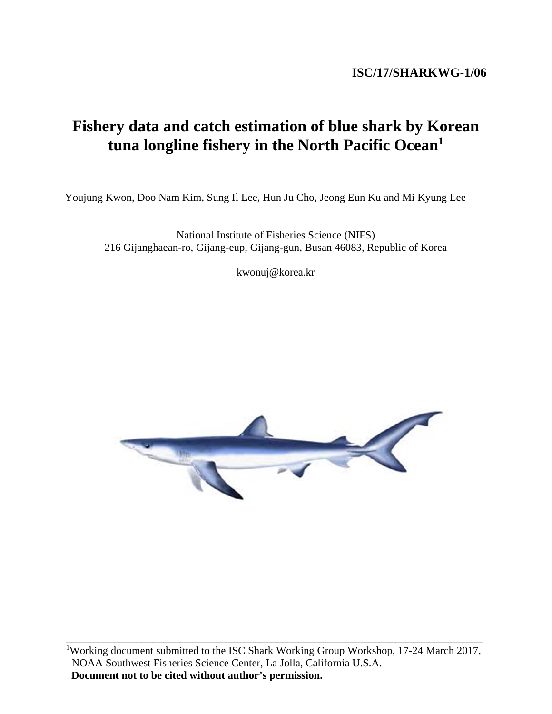# **Fishery data and catch estimation of blue shark by Korean tuna longline fishery in the North Pacific Ocean1**

Youjung Kwon, Doo Nam Kim, Sung Il Lee, Hun Ju Cho, Jeong Eun Ku and Mi Kyung Lee

National Institute of Fisheries Science (NIFS) 216 Gijanghaean-ro, Gijang-eup, Gijang-gun, Busan 46083, Republic of Korea

kwonuj@korea.kr

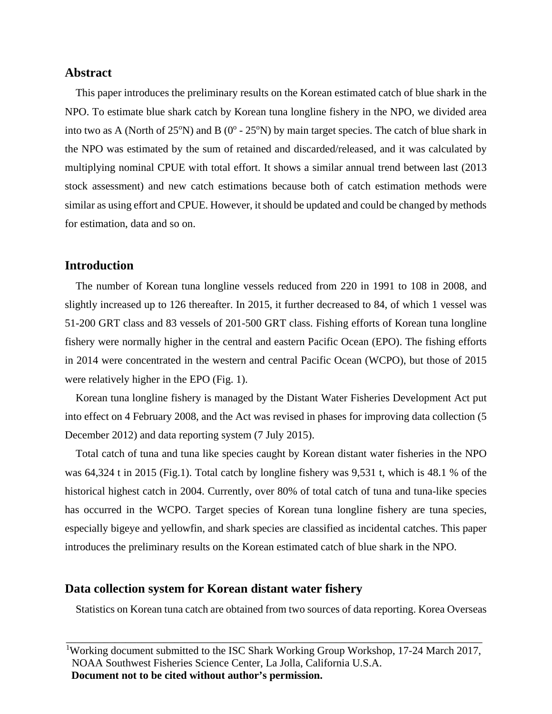## **Abstract**

This paper introduces the preliminary results on the Korean estimated catch of blue shark in the NPO. To estimate blue shark catch by Korean tuna longline fishery in the NPO, we divided area into two as A (North of  $25^{\circ}N$ ) and B (0 $^{\circ}$  -  $25^{\circ}N$ ) by main target species. The catch of blue shark in the NPO was estimated by the sum of retained and discarded/released, and it was calculated by multiplying nominal CPUE with total effort. It shows a similar annual trend between last (2013 stock assessment) and new catch estimations because both of catch estimation methods were similar as using effort and CPUE. However, it should be updated and could be changed by methods for estimation, data and so on.

### **Introduction**

The number of Korean tuna longline vessels reduced from 220 in 1991 to 108 in 2008, and slightly increased up to 126 thereafter. In 2015, it further decreased to 84, of which 1 vessel was 51-200 GRT class and 83 vessels of 201-500 GRT class. Fishing efforts of Korean tuna longline fishery were normally higher in the central and eastern Pacific Ocean (EPO). The fishing efforts in 2014 were concentrated in the western and central Pacific Ocean (WCPO), but those of 2015 were relatively higher in the EPO (Fig. 1).

Korean tuna longline fishery is managed by the Distant Water Fisheries Development Act put into effect on 4 February 2008, and the Act was revised in phases for improving data collection (5 December 2012) and data reporting system (7 July 2015).

Total catch of tuna and tuna like species caught by Korean distant water fisheries in the NPO was 64,324 t in 2015 (Fig.1). Total catch by longline fishery was 9,531 t, which is 48.1 % of the historical highest catch in 2004. Currently, over 80% of total catch of tuna and tuna-like species has occurred in the WCPO. Target species of Korean tuna longline fishery are tuna species, especially bigeye and yellowfin, and shark species are classified as incidental catches. This paper introduces the preliminary results on the Korean estimated catch of blue shark in the NPO.

#### **Data collection system for Korean distant water fishery**

Statistics on Korean tuna catch are obtained from two sources of data reporting. Korea Overseas

<sup>&</sup>lt;sup>1</sup>Working document submitted to the ISC Shark Working Group Workshop, 17-24 March 2017, NOAA Southwest Fisheries Science Center, La Jolla, California U.S.A. **Document not to be cited without author's permission.**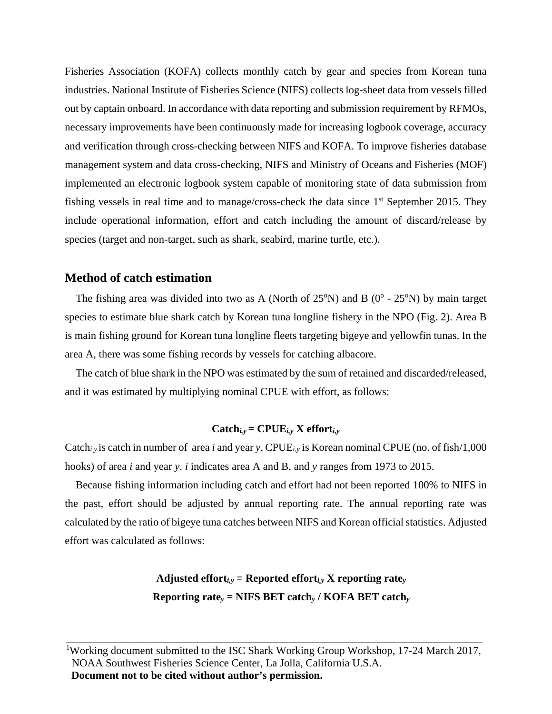Fisheries Association (KOFA) collects monthly catch by gear and species from Korean tuna industries. National Institute of Fisheries Science (NIFS) collects log-sheet data from vessels filled out by captain onboard. In accordance with data reporting and submission requirement by RFMOs, necessary improvements have been continuously made for increasing logbook coverage, accuracy and verification through cross-checking between NIFS and KOFA. To improve fisheries database management system and data cross-checking, NIFS and Ministry of Oceans and Fisheries (MOF) implemented an electronic logbook system capable of monitoring state of data submission from fishing vessels in real time and to manage/cross-check the data since 1<sup>st</sup> September 2015. They include operational information, effort and catch including the amount of discard/release by species (target and non-target, such as shark, seabird, marine turtle, etc.).

# **Method of catch estimation**

The fishing area was divided into two as A (North of  $25^{\circ}$ N) and B (0 $^{\circ}$  -  $25^{\circ}$ N) by main target species to estimate blue shark catch by Korean tuna longline fishery in the NPO (Fig. 2). Area B is main fishing ground for Korean tuna longline fleets targeting bigeye and yellowfin tunas. In the area A, there was some fishing records by vessels for catching albacore.

The catch of blue shark in the NPO was estimated by the sum of retained and discarded/released, and it was estimated by multiplying nominal CPUE with effort, as follows:

#### $\text{Catch}_{i,y} = \text{CPUE}_{i,y} \times \text{effort}_{i,y}$

Catch*i,y* is catch in number of area *i* and year *y*, CPUE*i,y* is Korean nominal CPUE (no. of fish/1,000 hooks) of area *i* and year *y*. *i* indicates area A and B, and *y* ranges from 1973 to 2015.

Because fishing information including catch and effort had not been reported 100% to NIFS in the past, effort should be adjusted by annual reporting rate. The annual reporting rate was calculated by the ratio of bigeye tuna catches between NIFS and Korean official statistics. Adjusted effort was calculated as follows:

# Adjusted effort $i_{i,y}$  = Reported effort $i_{i,y}$  X reporting rate<sub>*y*</sub> **Reporting rate***y* **= NIFS BET catch***y* **/ KOFA BET catch***y*

<sup>&</sup>lt;sup>1</sup>Working document submitted to the ISC Shark Working Group Workshop, 17-24 March 2017, NOAA Southwest Fisheries Science Center, La Jolla, California U.S.A. **Document not to be cited without author's permission.**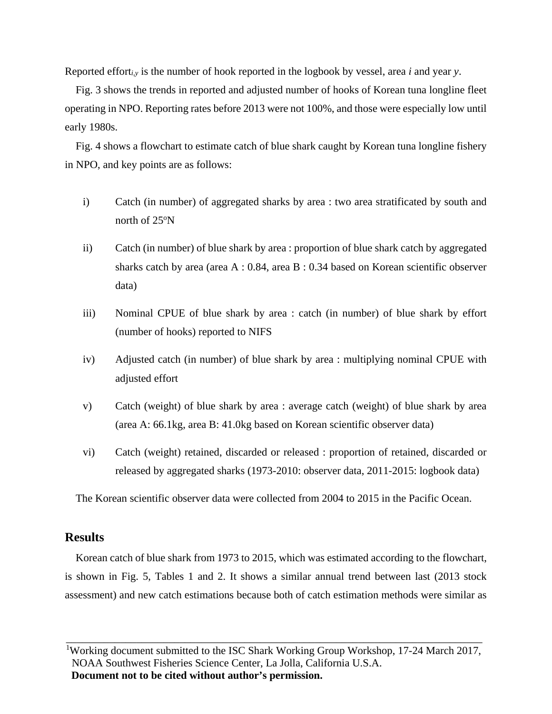Reported effort*i,y* is the number of hook reported in the logbook by vessel, area *i* and year *y*.

Fig. 3 shows the trends in reported and adjusted number of hooks of Korean tuna longline fleet operating in NPO. Reporting rates before 2013 were not 100%, and those were especially low until early 1980s.

Fig. 4 shows a flowchart to estimate catch of blue shark caught by Korean tuna longline fishery in NPO, and key points are as follows:

- i) Catch (in number) of aggregated sharks by area : two area stratificated by south and north of  $25^{\circ}$ N
- ii) Catch (in number) of blue shark by area : proportion of blue shark catch by aggregated sharks catch by area (area A : 0.84, area B : 0.34 based on Korean scientific observer data)
- iii) Nominal CPUE of blue shark by area : catch (in number) of blue shark by effort (number of hooks) reported to NIFS
- iv) Adjusted catch (in number) of blue shark by area : multiplying nominal CPUE with adjusted effort
- v) Catch (weight) of blue shark by area : average catch (weight) of blue shark by area (area A: 66.1kg, area B: 41.0kg based on Korean scientific observer data)
- vi) Catch (weight) retained, discarded or released : proportion of retained, discarded or released by aggregated sharks (1973-2010: observer data, 2011-2015: logbook data)

The Korean scientific observer data were collected from 2004 to 2015 in the Pacific Ocean.

# **Results**

Korean catch of blue shark from 1973 to 2015, which was estimated according to the flowchart, is shown in Fig. 5, Tables 1 and 2. It shows a similar annual trend between last (2013 stock assessment) and new catch estimations because both of catch estimation methods were similar as

<sup>&</sup>lt;sup>1</sup>Working document submitted to the ISC Shark Working Group Workshop, 17-24 March 2017, NOAA Southwest Fisheries Science Center, La Jolla, California U.S.A. **Document not to be cited without author's permission.**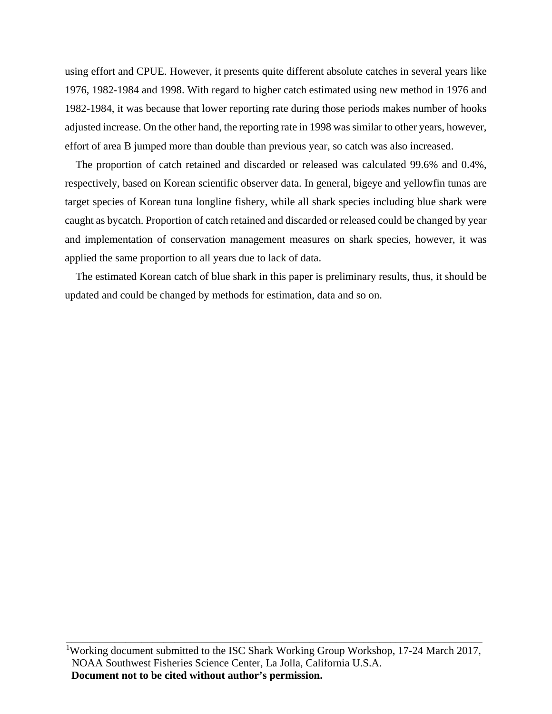using effort and CPUE. However, it presents quite different absolute catches in several years like 1976, 1982-1984 and 1998. With regard to higher catch estimated using new method in 1976 and 1982-1984, it was because that lower reporting rate during those periods makes number of hooks adjusted increase. On the other hand, the reporting rate in 1998 was similar to other years, however, effort of area B jumped more than double than previous year, so catch was also increased.

The proportion of catch retained and discarded or released was calculated 99.6% and 0.4%, respectively, based on Korean scientific observer data. In general, bigeye and yellowfin tunas are target species of Korean tuna longline fishery, while all shark species including blue shark were caught as bycatch. Proportion of catch retained and discarded or released could be changed by year and implementation of conservation management measures on shark species, however, it was applied the same proportion to all years due to lack of data.

The estimated Korean catch of blue shark in this paper is preliminary results, thus, it should be updated and could be changed by methods for estimation, data and so on.

<sup>&</sup>lt;sup>1</sup>Working document submitted to the ISC Shark Working Group Workshop, 17-24 March 2017, NOAA Southwest Fisheries Science Center, La Jolla, California U.S.A. **Document not to be cited without author's permission.**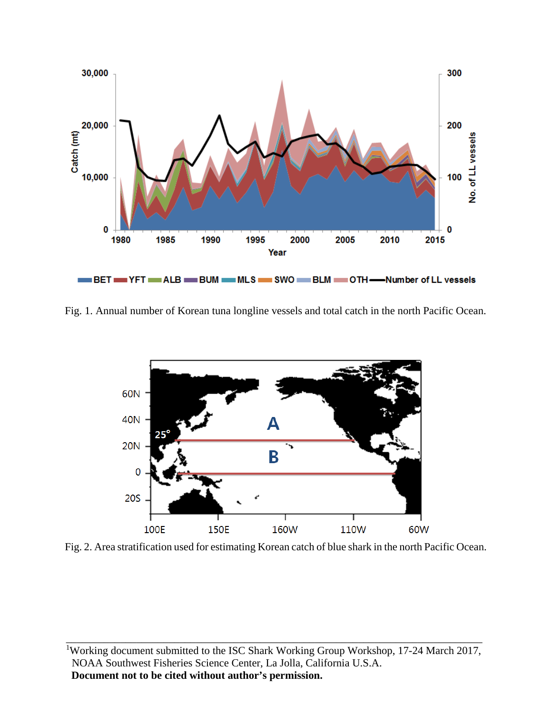

Fig. 1. Annual number of Korean tuna longline vessels and total catch in the north Pacific Ocean.



Fig. 2. Area stratification used for estimating Korean catch of blue shark in the north Pacific Ocean.

<sup>1</sup>Working document submitted to the ISC Shark Working Group Workshop, 17-24 March 2017, NOAA Southwest Fisheries Science Center, La Jolla, California U.S.A. **Document not to be cited without author's permission.**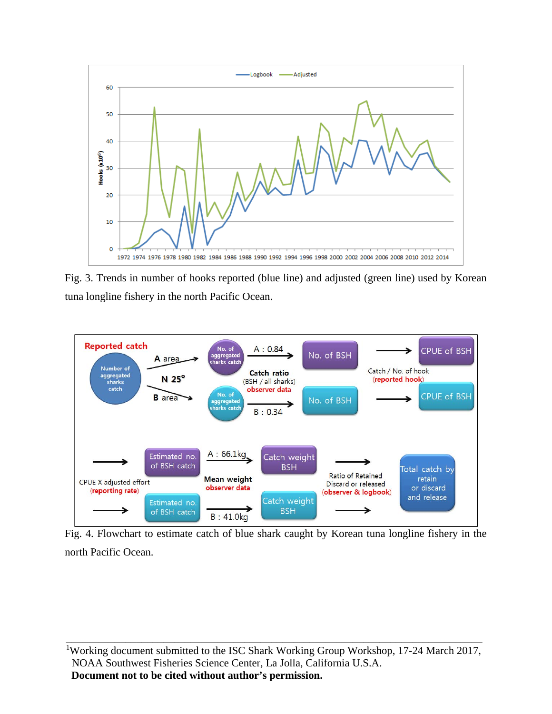

Fig. 3. Trends in number of hooks reported (blue line) and adjusted (green line) used by Korean tuna longline fishery in the north Pacific Ocean.



Fig. 4. Flowchart to estimate catch of blue shark caught by Korean tuna longline fishery in the north Pacific Ocean.

<sup>&</sup>lt;sup>1</sup>Working document submitted to the ISC Shark Working Group Workshop, 17-24 March 2017, NOAA Southwest Fisheries Science Center, La Jolla, California U.S.A. **Document not to be cited without author's permission.**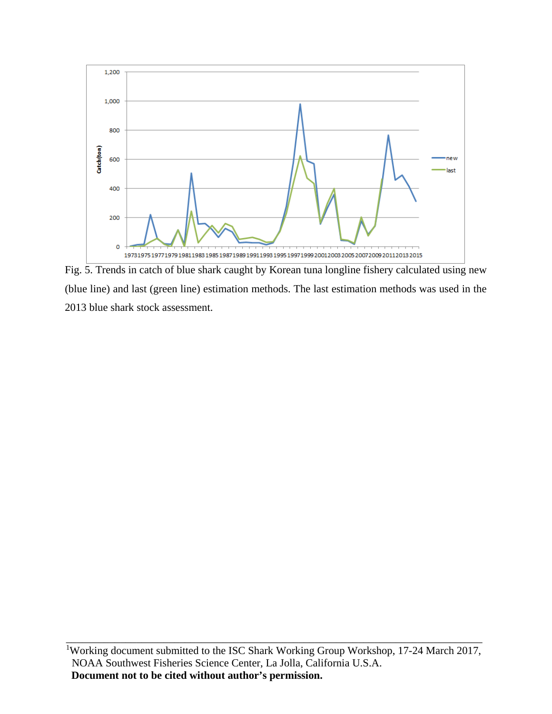

Fig. 5. Trends in catch of blue shark caught by Korean tuna longline fishery calculated using new (blue line) and last (green line) estimation methods. The last estimation methods was used in the 2013 blue shark stock assessment.

<sup>&</sup>lt;sup>1</sup>Working document submitted to the ISC Shark Working Group Workshop, 17-24 March 2017, NOAA Southwest Fisheries Science Center, La Jolla, California U.S.A. **Document not to be cited without author's permission.**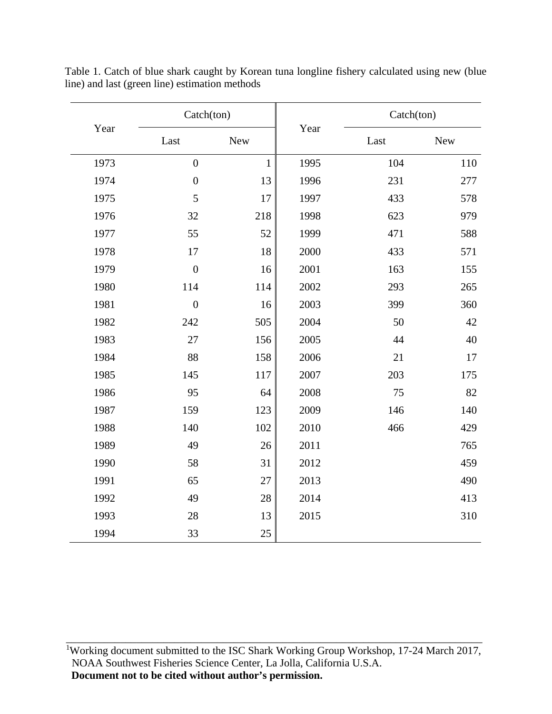| Year | Catch(ton)       |              |      | Catch(ton) |            |  |
|------|------------------|--------------|------|------------|------------|--|
|      | Last             | <b>New</b>   | Year | Last       | <b>New</b> |  |
| 1973 | $\boldsymbol{0}$ | $\mathbf{1}$ | 1995 | 104        | 110        |  |
| 1974 | $\mathbf{0}$     | 13           | 1996 | 231        | 277        |  |
| 1975 | 5                | 17           | 1997 | 433        | 578        |  |
| 1976 | 32               | 218          | 1998 | 623        | 979        |  |
| 1977 | 55               | 52           | 1999 | 471        | 588        |  |
| 1978 | 17               | 18           | 2000 | 433        | 571        |  |
| 1979 | $\boldsymbol{0}$ | 16           | 2001 | 163        | 155        |  |
| 1980 | 114              | 114          | 2002 | 293        | 265        |  |
| 1981 | $\overline{0}$   | 16           | 2003 | 399        | 360        |  |
| 1982 | 242              | 505          | 2004 | 50         | 42         |  |
| 1983 | 27               | 156          | 2005 | 44         | 40         |  |
| 1984 | 88               | 158          | 2006 | 21         | 17         |  |
| 1985 | 145              | 117          | 2007 | 203        | 175        |  |
| 1986 | 95               | 64           | 2008 | 75         | 82         |  |
| 1987 | 159              | 123          | 2009 | 146        | 140        |  |
| 1988 | 140              | 102          | 2010 | 466        | 429        |  |
| 1989 | 49               | 26           | 2011 |            | 765        |  |
| 1990 | 58               | 31           | 2012 |            | 459        |  |
| 1991 | 65               | 27           | 2013 |            | 490        |  |
| 1992 | 49               | 28           | 2014 |            | 413        |  |
| 1993 | 28               | 13           | 2015 |            | 310        |  |
| 1994 | 33               | 25           |      |            |            |  |

Table 1. Catch of blue shark caught by Korean tuna longline fishery calculated using new (blue line) and last (green line) estimation methods

<sup>1</sup>Working document submitted to the ISC Shark Working Group Workshop, 17-24 March 2017, NOAA Southwest Fisheries Science Center, La Jolla, California U.S.A. **Document not to be cited without author's permission.**